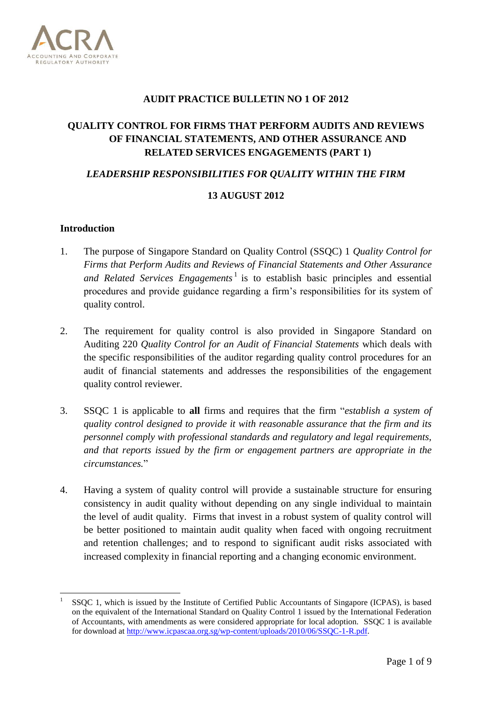

#### **AUDIT PRACTICE BULLETIN NO 1 OF 2012**

# **QUALITY CONTROL FOR FIRMS THAT PERFORM AUDITS AND REVIEWS OF FINANCIAL STATEMENTS, AND OTHER ASSURANCE AND RELATED SERVICES ENGAGEMENTS (PART 1)**

#### *LEADERSHIP RESPONSIBILITIES FOR QUALITY WITHIN THE FIRM*

## **13 AUGUST 2012**

#### **Introduction**

**.** 

- 1. The purpose of Singapore Standard on Quality Control (SSQC) 1 *Quality Control for Firms that Perform Audits and Reviews of Financial Statements and Other Assurance*  and Related Services Engagements<sup>1</sup> is to establish basic principles and essential procedures and provide guidance regarding a firm's responsibilities for its system of quality control.
- 2. The requirement for quality control is also provided in Singapore Standard on Auditing 220 *Quality Control for an Audit of Financial Statements* which deals with the specific responsibilities of the auditor regarding quality control procedures for an audit of financial statements and addresses the responsibilities of the engagement quality control reviewer.
- 3. SSQC 1 is applicable to **all** firms and requires that the firm "*establish a system of quality control designed to provide it with reasonable assurance that the firm and its personnel comply with professional standards and regulatory and legal requirements, and that reports issued by the firm or engagement partners are appropriate in the circumstances.*"
- 4. Having a system of quality control will provide a sustainable structure for ensuring consistency in audit quality without depending on any single individual to maintain the level of audit quality. Firms that invest in a robust system of quality control will be better positioned to maintain audit quality when faced with ongoing recruitment and retention challenges; and to respond to significant audit risks associated with increased complexity in financial reporting and a changing economic environment.

<sup>1</sup> SSQC 1, which is issued by the Institute of Certified Public Accountants of Singapore (ICPAS), is based on the equivalent of the International Standard on Quality Control 1 issued by the International Federation of Accountants, with amendments as were considered appropriate for local adoption. SSQC 1 is available for download at [http://www.icpascaa.org.sg/wp-content/uploads/2010/06/SSQC-1-R.pdf.](http://www.icpascaa.org.sg/wp-content/uploads/2010/06/SSQC-1-R.pdf)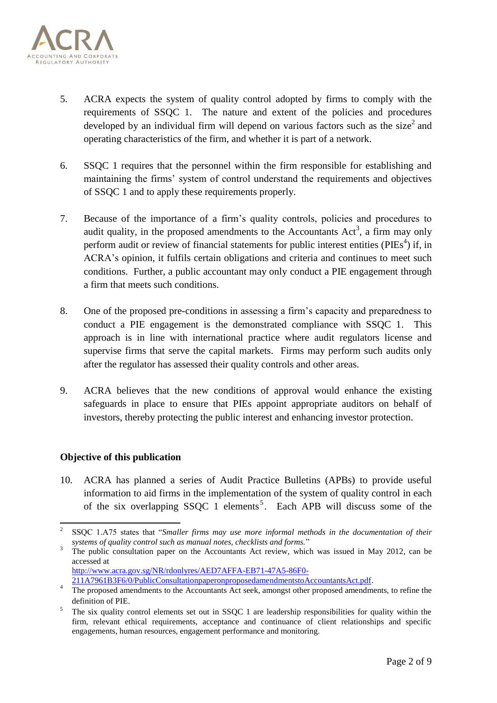

- 5. ACRA expects the system of quality control adopted by firms to comply with the requirements of SSQC 1. The nature and extent of the policies and procedures developed by an individual firm will depend on various factors such as the size<sup>2</sup> and operating characteristics of the firm, and whether it is part of a network.
- 6. SSQC 1 requires that the personnel within the firm responsible for establishing and maintaining the firms' system of control understand the requirements and objectives of SSQC 1 and to apply these requirements properly.
- 7. Because of the importance of a firm's quality controls, policies and procedures to audit quality, in the proposed amendments to the Accountants  $Act^3$ , a firm may only perform audit or review of financial statements for public interest entities ( $PIES<sup>4</sup>$ ) if, in ACRA's opinion, it fulfils certain obligations and criteria and continues to meet such conditions. Further, a public accountant may only conduct a PIE engagement through a firm that meets such conditions.
- 8. One of the proposed pre-conditions in assessing a firm's capacity and preparedness to conduct a PIE engagement is the demonstrated compliance with SSQC 1. This approach is in line with international practice where audit regulators license and supervise firms that serve the capital markets. Firms may perform such audits only after the regulator has assessed their quality controls and other areas.
- 9. ACRA believes that the new conditions of approval would enhance the existing safeguards in place to ensure that PIEs appoint appropriate auditors on behalf of investors, thereby protecting the public interest and enhancing investor protection.

## **Objective of this publication**

**.** 

10. ACRA has planned a series of Audit Practice Bulletins (APBs) to provide useful information to aid firms in the implementation of the system of quality control in each of the six overlapping SSQC 1 elements<sup>5</sup>. Each APB will discuss some of the

3 The public consultation paper on the Accountants Act review, which was issued in May 2012, can be accessed at

[http://www.acra.gov.sg/NR/rdonlyres/AED7AFFA-EB71-47A5-86F0-](http://www.acra.gov.sg/NR/rdonlyres/AED7AFFA-EB71-47A5-86F0-211A7961B3F6/0/PublicConsultationpaperonproposedamendmentstoAccountantsAct.pdf)

<sup>2</sup> SSQC 1.A75 states that "*Smaller firms may use more informal methods in the documentation of their systems of quality control such as manual notes, checklists and forms.*"

[<sup>211</sup>A7961B3F6/0/PublicConsultationpaperonproposedamendmentstoAccountantsAct.pdf.](http://www.acra.gov.sg/NR/rdonlyres/AED7AFFA-EB71-47A5-86F0-211A7961B3F6/0/PublicConsultationpaperonproposedamendmentstoAccountantsAct.pdf)

<sup>&</sup>lt;sup>4</sup> The proposed amendments to the Accountants Act seek, amongst other proposed amendments, to refine the definition of PIE.

<sup>5</sup> The six quality control elements set out in SSQC 1 are leadership responsibilities for quality within the firm, relevant ethical requirements, acceptance and continuance of client relationships and specific engagements, human resources, engagement performance and monitoring.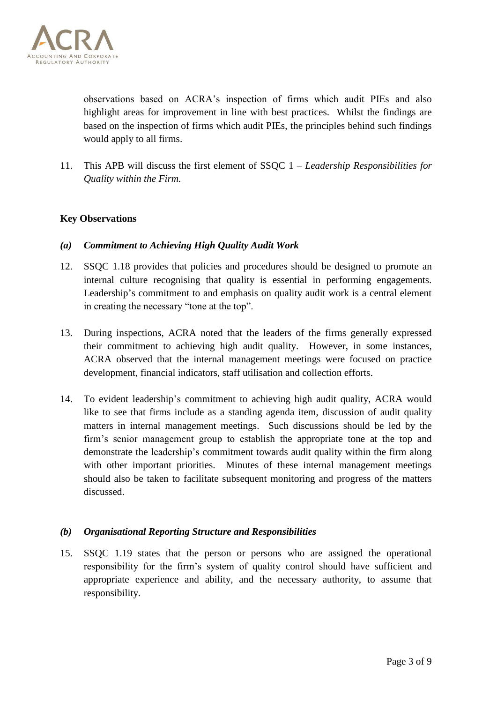

observations based on ACRA's inspection of firms which audit PIEs and also highlight areas for improvement in line with best practices. Whilst the findings are based on the inspection of firms which audit PIEs, the principles behind such findings would apply to all firms.

11. This APB will discuss the first element of SSQC 1 – *Leadership Responsibilities for Quality within the Firm.*

## **Key Observations**

- *(a) Commitment to Achieving High Quality Audit Work*
- 12. SSQC 1.18 provides that policies and procedures should be designed to promote an internal culture recognising that quality is essential in performing engagements. Leadership's commitment to and emphasis on quality audit work is a central element in creating the necessary "tone at the top".
- 13. During inspections, ACRA noted that the leaders of the firms generally expressed their commitment to achieving high audit quality. However, in some instances, ACRA observed that the internal management meetings were focused on practice development, financial indicators, staff utilisation and collection efforts.
- 14. To evident leadership's commitment to achieving high audit quality, ACRA would like to see that firms include as a standing agenda item, discussion of audit quality matters in internal management meetings. Such discussions should be led by the firm's senior management group to establish the appropriate tone at the top and demonstrate the leadership's commitment towards audit quality within the firm along with other important priorities. Minutes of these internal management meetings should also be taken to facilitate subsequent monitoring and progress of the matters discussed.

## *(b) Organisational Reporting Structure and Responsibilities*

15. SSQC 1.19 states that the person or persons who are assigned the operational responsibility for the firm's system of quality control should have sufficient and appropriate experience and ability, and the necessary authority, to assume that responsibility.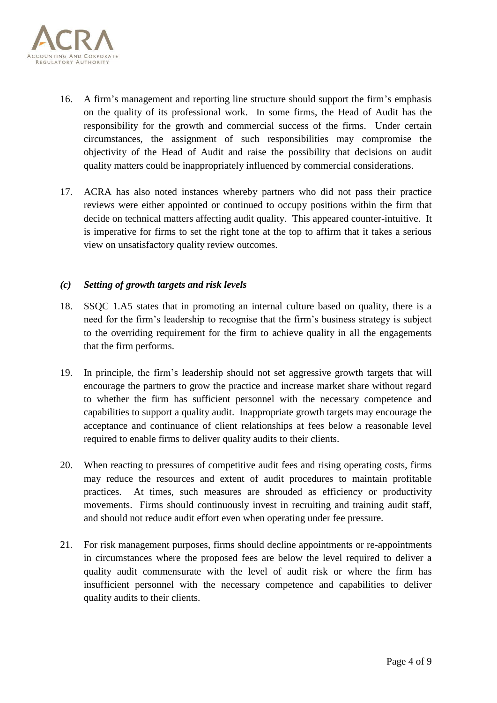

- 16. A firm's management and reporting line structure should support the firm's emphasis on the quality of its professional work. In some firms, the Head of Audit has the responsibility for the growth and commercial success of the firms. Under certain circumstances, the assignment of such responsibilities may compromise the objectivity of the Head of Audit and raise the possibility that decisions on audit quality matters could be inappropriately influenced by commercial considerations.
- 17. ACRA has also noted instances whereby partners who did not pass their practice reviews were either appointed or continued to occupy positions within the firm that decide on technical matters affecting audit quality. This appeared counter-intuitive. It is imperative for firms to set the right tone at the top to affirm that it takes a serious view on unsatisfactory quality review outcomes.

#### *(c) Setting of growth targets and risk levels*

- 18. SSQC 1.A5 states that in promoting an internal culture based on quality, there is a need for the firm's leadership to recognise that the firm's business strategy is subject to the overriding requirement for the firm to achieve quality in all the engagements that the firm performs.
- 19. In principle, the firm's leadership should not set aggressive growth targets that will encourage the partners to grow the practice and increase market share without regard to whether the firm has sufficient personnel with the necessary competence and capabilities to support a quality audit. Inappropriate growth targets may encourage the acceptance and continuance of client relationships at fees below a reasonable level required to enable firms to deliver quality audits to their clients.
- 20. When reacting to pressures of competitive audit fees and rising operating costs, firms may reduce the resources and extent of audit procedures to maintain profitable practices. At times, such measures are shrouded as efficiency or productivity movements. Firms should continuously invest in recruiting and training audit staff, and should not reduce audit effort even when operating under fee pressure.
- 21. For risk management purposes, firms should decline appointments or re-appointments in circumstances where the proposed fees are below the level required to deliver a quality audit commensurate with the level of audit risk or where the firm has insufficient personnel with the necessary competence and capabilities to deliver quality audits to their clients.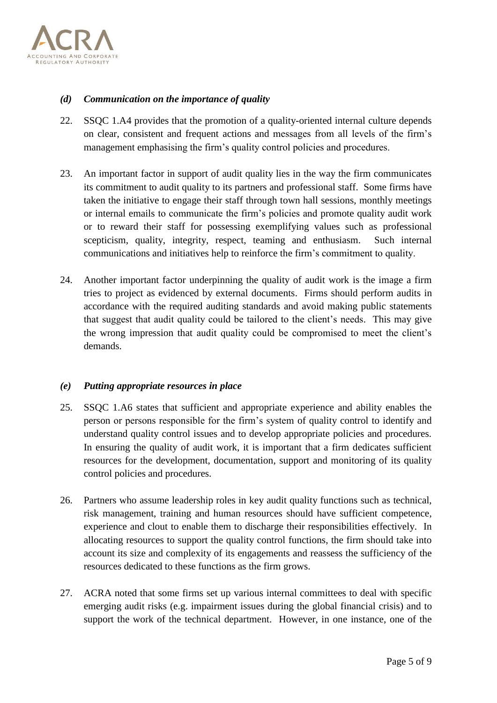

## *(d) Communication on the importance of quality*

- 22. SSQC 1.A4 provides that the promotion of a quality-oriented internal culture depends on clear, consistent and frequent actions and messages from all levels of the firm's management emphasising the firm's quality control policies and procedures.
- 23. An important factor in support of audit quality lies in the way the firm communicates its commitment to audit quality to its partners and professional staff. Some firms have taken the initiative to engage their staff through town hall sessions, monthly meetings or internal emails to communicate the firm's policies and promote quality audit work or to reward their staff for possessing exemplifying values such as professional scepticism, quality, integrity, respect, teaming and enthusiasm. Such internal communications and initiatives help to reinforce the firm's commitment to quality.
- 24. Another important factor underpinning the quality of audit work is the image a firm tries to project as evidenced by external documents. Firms should perform audits in accordance with the required auditing standards and avoid making public statements that suggest that audit quality could be tailored to the client's needs. This may give the wrong impression that audit quality could be compromised to meet the client's demands.

#### *(e) Putting appropriate resources in place*

- 25. SSQC 1.A6 states that sufficient and appropriate experience and ability enables the person or persons responsible for the firm's system of quality control to identify and understand quality control issues and to develop appropriate policies and procedures. In ensuring the quality of audit work, it is important that a firm dedicates sufficient resources for the development, documentation, support and monitoring of its quality control policies and procedures.
- 26. Partners who assume leadership roles in key audit quality functions such as technical, risk management, training and human resources should have sufficient competence, experience and clout to enable them to discharge their responsibilities effectively. In allocating resources to support the quality control functions, the firm should take into account its size and complexity of its engagements and reassess the sufficiency of the resources dedicated to these functions as the firm grows.
- 27. ACRA noted that some firms set up various internal committees to deal with specific emerging audit risks (e.g. impairment issues during the global financial crisis) and to support the work of the technical department. However, in one instance, one of the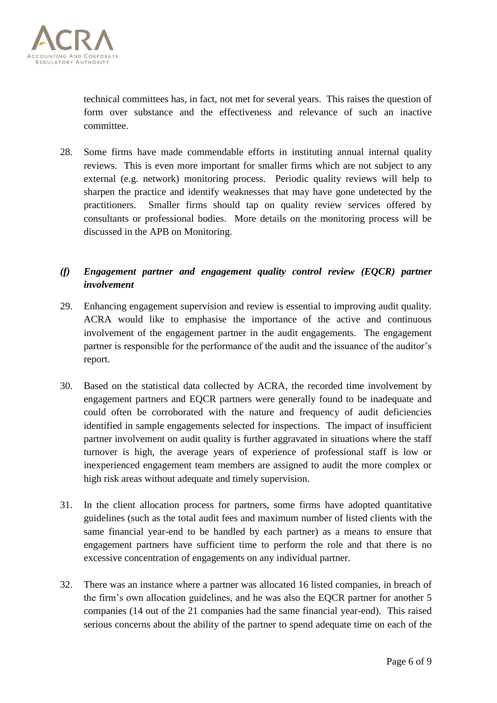

technical committees has, in fact, not met for several years. This raises the question of form over substance and the effectiveness and relevance of such an inactive committee.

28. Some firms have made commendable efforts in instituting annual internal quality reviews. This is even more important for smaller firms which are not subject to any external (e.g. network) monitoring process. Periodic quality reviews will help to sharpen the practice and identify weaknesses that may have gone undetected by the practitioners. Smaller firms should tap on quality review services offered by consultants or professional bodies. More details on the monitoring process will be discussed in the APB on Monitoring.

# *(f) Engagement partner and engagement quality control review (EQCR) partner involvement*

- 29. Enhancing engagement supervision and review is essential to improving audit quality. ACRA would like to emphasise the importance of the active and continuous involvement of the engagement partner in the audit engagements. The engagement partner is responsible for the performance of the audit and the issuance of the auditor's report.
- 30. Based on the statistical data collected by ACRA, the recorded time involvement by engagement partners and EQCR partners were generally found to be inadequate and could often be corroborated with the nature and frequency of audit deficiencies identified in sample engagements selected for inspections. The impact of insufficient partner involvement on audit quality is further aggravated in situations where the staff turnover is high, the average years of experience of professional staff is low or inexperienced engagement team members are assigned to audit the more complex or high risk areas without adequate and timely supervision.
- 31. In the client allocation process for partners, some firms have adopted quantitative guidelines (such as the total audit fees and maximum number of listed clients with the same financial year-end to be handled by each partner) as a means to ensure that engagement partners have sufficient time to perform the role and that there is no excessive concentration of engagements on any individual partner.
- 32. There was an instance where a partner was allocated 16 listed companies, in breach of the firm's own allocation guidelines, and he was also the EQCR partner for another 5 companies (14 out of the 21 companies had the same financial year-end). This raised serious concerns about the ability of the partner to spend adequate time on each of the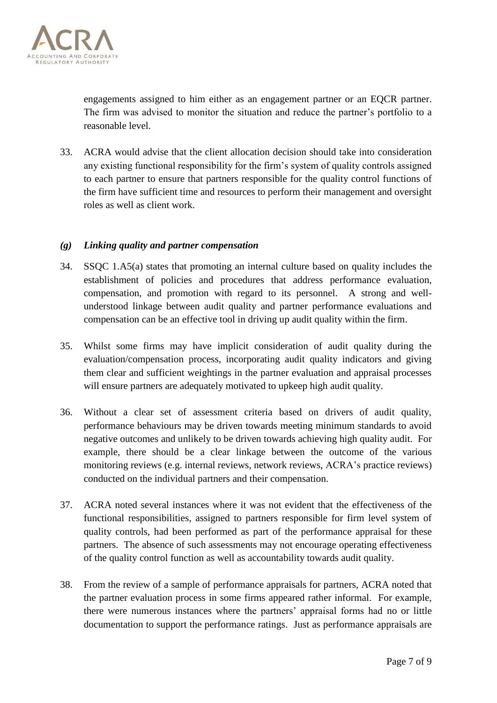

engagements assigned to him either as an engagement partner or an EQCR partner. The firm was advised to monitor the situation and reduce the partner's portfolio to a reasonable level.

33. ACRA would advise that the client allocation decision should take into consideration any existing functional responsibility for the firm's system of quality controls assigned to each partner to ensure that partners responsible for the quality control functions of the firm have sufficient time and resources to perform their management and oversight roles as well as client work.

## *(g) Linking quality and partner compensation*

- 34. SSQC 1.A5(a) states that promoting an internal culture based on quality includes the establishment of policies and procedures that address performance evaluation, compensation, and promotion with regard to its personnel. A strong and wellunderstood linkage between audit quality and partner performance evaluations and compensation can be an effective tool in driving up audit quality within the firm.
- 35. Whilst some firms may have implicit consideration of audit quality during the evaluation/compensation process, incorporating audit quality indicators and giving them clear and sufficient weightings in the partner evaluation and appraisal processes will ensure partners are adequately motivated to upkeep high audit quality.
- 36. Without a clear set of assessment criteria based on drivers of audit quality, performance behaviours may be driven towards meeting minimum standards to avoid negative outcomes and unlikely to be driven towards achieving high quality audit. For example, there should be a clear linkage between the outcome of the various monitoring reviews (e.g. internal reviews, network reviews, ACRA's practice reviews) conducted on the individual partners and their compensation.
- 37. ACRA noted several instances where it was not evident that the effectiveness of the functional responsibilities, assigned to partners responsible for firm level system of quality controls, had been performed as part of the performance appraisal for these partners. The absence of such assessments may not encourage operating effectiveness of the quality control function as well as accountability towards audit quality.
- 38. From the review of a sample of performance appraisals for partners, ACRA noted that the partner evaluation process in some firms appeared rather informal. For example, there were numerous instances where the partners' appraisal forms had no or little documentation to support the performance ratings. Just as performance appraisals are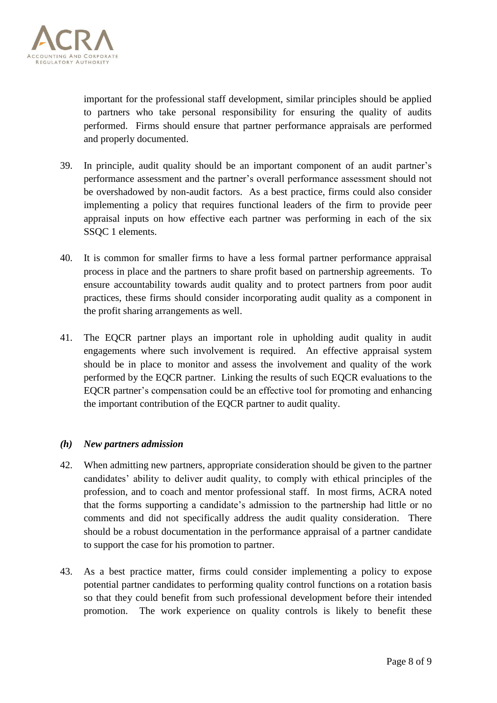

important for the professional staff development, similar principles should be applied to partners who take personal responsibility for ensuring the quality of audits performed. Firms should ensure that partner performance appraisals are performed and properly documented.

- 39. In principle, audit quality should be an important component of an audit partner's performance assessment and the partner's overall performance assessment should not be overshadowed by non-audit factors. As a best practice, firms could also consider implementing a policy that requires functional leaders of the firm to provide peer appraisal inputs on how effective each partner was performing in each of the six SSQC 1 elements.
- 40. It is common for smaller firms to have a less formal partner performance appraisal process in place and the partners to share profit based on partnership agreements. To ensure accountability towards audit quality and to protect partners from poor audit practices, these firms should consider incorporating audit quality as a component in the profit sharing arrangements as well.
- 41. The EQCR partner plays an important role in upholding audit quality in audit engagements where such involvement is required. An effective appraisal system should be in place to monitor and assess the involvement and quality of the work performed by the EQCR partner. Linking the results of such EQCR evaluations to the EQCR partner's compensation could be an effective tool for promoting and enhancing the important contribution of the EQCR partner to audit quality.

## *(h) New partners admission*

- 42. When admitting new partners, appropriate consideration should be given to the partner candidates' ability to deliver audit quality, to comply with ethical principles of the profession, and to coach and mentor professional staff. In most firms, ACRA noted that the forms supporting a candidate's admission to the partnership had little or no comments and did not specifically address the audit quality consideration. There should be a robust documentation in the performance appraisal of a partner candidate to support the case for his promotion to partner.
- 43. As a best practice matter, firms could consider implementing a policy to expose potential partner candidates to performing quality control functions on a rotation basis so that they could benefit from such professional development before their intended promotion. The work experience on quality controls is likely to benefit these